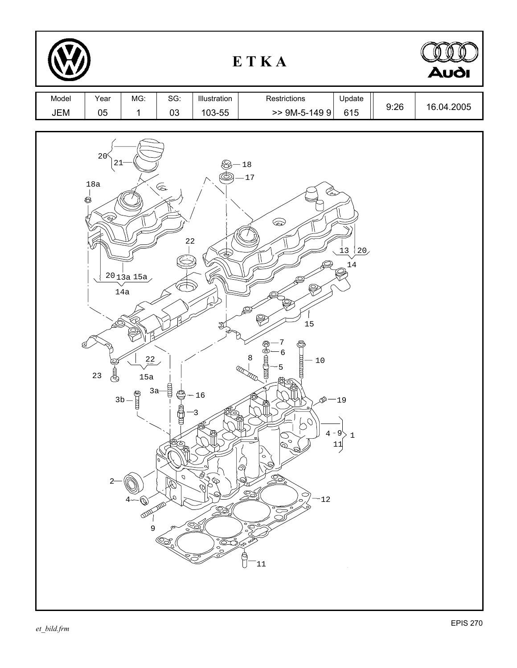| ETKA         |                                                                           |                                                                                          |                                                                                                                                                                                                                                                                                                                                                                                                                                 |                                                                                                                                      |                                                                                                                                                                                                                                                                                                                                                                                                                         |                                                                                        |      | <b>Audi</b> |
|--------------|---------------------------------------------------------------------------|------------------------------------------------------------------------------------------|---------------------------------------------------------------------------------------------------------------------------------------------------------------------------------------------------------------------------------------------------------------------------------------------------------------------------------------------------------------------------------------------------------------------------------|--------------------------------------------------------------------------------------------------------------------------------------|-------------------------------------------------------------------------------------------------------------------------------------------------------------------------------------------------------------------------------------------------------------------------------------------------------------------------------------------------------------------------------------------------------------------------|----------------------------------------------------------------------------------------|------|-------------|
| Model<br>JEM | Year<br>05                                                                | MG:<br>$\mathbf 1$                                                                       | SG:<br>03                                                                                                                                                                                                                                                                                                                                                                                                                       | Illustration<br>103-55                                                                                                               | Restrictions<br>$>>$ 9M-5-149 9                                                                                                                                                                                                                                                                                                                                                                                         | Update<br>615                                                                          | 9:26 | 16.04.2005  |
|              | 20 <sup>6</sup><br>21<br>$18a$<br>G<br>Ŝ.<br>:Ò,<br>₫<br>₿<br>23<br>$2 -$ | $\frac{20}{3}$ $\frac{15a}{5}$<br>$14a$<br>22<br>15a<br>$3a-$<br>$3b -$<br>E<br>ODD<br>9 | $\begin{picture}(120,15)(-20,0) \put(0,0){\line(1,0){15}} \put(15,0){\line(1,0){15}} \put(15,0){\line(1,0){15}} \put(15,0){\line(1,0){15}} \put(15,0){\line(1,0){15}} \put(15,0){\line(1,0){15}} \put(15,0){\line(1,0){15}} \put(15,0){\line(1,0){15}} \put(15,0){\line(1,0){15}} \put(15,0){\line(1,0){15}} \put(15,0){\line(1,0){15}} \put(15$<br>22<br>digital<br>€<br>aasha<br><b>REGA</b><br>$\mathcal O$<br>D.<br>Œ,<br>Q | $\hat{\mathcal{L}}$<br>$\sqrt{\frac{2}{\sigma^2}}$<br>₹<br>$-16$<br>-3<br>♨<br>o<br>Ò.<br>S<br>P<br>Q<br>B<br><u>SS</u><br>e So<br>I | $-18$<br><b>17</b><br>l Car<br>$\bigotimes$<br>⊜<br>S<br>$\bigotimes$<br>15<br>ම්<br>ර<br>6<br>8<br>munim<br>$-10$<br>5<br>R<br><b>TILL</b><br>M<br>$\mathcal{D}$ .<br>♔<br>₩<br><b>SOF</b><br>$\circ$<br>6<br>$\circ$<br>É<br>ි,<br><u> SS</u><br>$\mathcal{Q}_{\mathcal{U}}$<br>\$<br>$\widetilde{\rho}_{\gamma}$<br>$-12$<br>ی<br>$\sum_{i=1}^{\infty}$<br>$\overline{\phantom{a}}$<br>°T<br>会合<br>ğ<br>$\boxed{11}$ | $\frac{13}{1}$<br>$\frac{120}{2}$<br>$14\,$<br>$-19$<br>$4 - 9^1$<br>11<br>$\mathbf 1$ |      |             |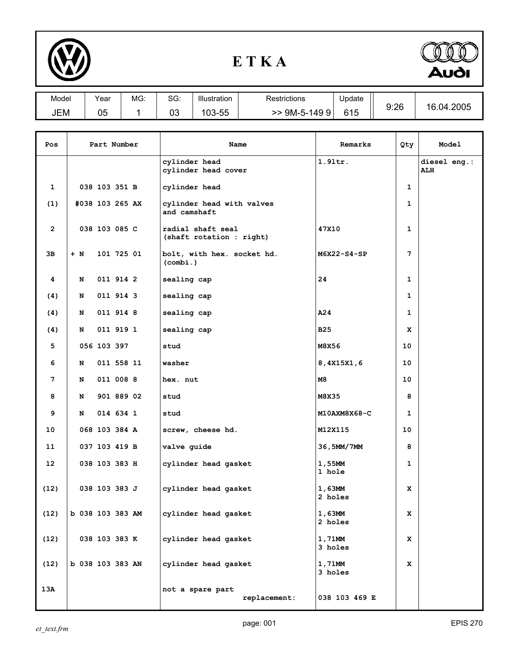

## **E T K A**



| Model | Year     | MG: | SG:      | Illustration | Restrictions | Update | 9:26 | .04.2005<br>16. |
|-------|----------|-----|----------|--------------|--------------|--------|------|-----------------|
| JEM   | በፍ<br>uu |     | ∩∩<br>υJ | --<br>103-55 | 9M-5-1499    | 615    |      |                 |

| Pos             | Part Number      |               | Name                                 | Remarks                                       | Qty               | Model                      |  |
|-----------------|------------------|---------------|--------------------------------------|-----------------------------------------------|-------------------|----------------------------|--|
|                 |                  |               | cylinder head<br>cylinder head cover | $1.9$ ltr.                                    |                   | diesel eng.:<br><b>ALH</b> |  |
| $\mathbf{1}$    |                  | 038 103 351 B |                                      | cylinder head                                 |                   | 1                          |  |
| (1)             | #038 103 265 AX  |               |                                      | cylinder head with valves<br>and camshaft     |                   | 1                          |  |
| $\overline{2}$  |                  | 038 103 085 C |                                      | radial shaft seal<br>(shaft rotation : right) | 47X10             | 1                          |  |
| Зв              | $+ N$            |               | 101 725 01                           | bolt, with hex. socket hd.<br>(combi.)        | $M6X22-S4-SP$     | 7                          |  |
| 4               | N                |               | 011 914 2                            | sealing cap                                   | 24                | 1                          |  |
| (4)             | N                |               | 011 914 3                            | sealing cap                                   |                   | $\mathbf{1}$               |  |
| (4)             | N                |               | 011 914 8                            | sealing cap                                   | A24               | 1                          |  |
| (4)             | N                |               | 011 919 1                            | sealing cap                                   | <b>B25</b>        | x                          |  |
| 5               |                  | 056 103 397   |                                      | stud                                          | M8X56             | 10                         |  |
| 6               | N                |               | 011 558 11                           | washer                                        | 8,4X15X1,6        | 10                         |  |
| 7               | N                |               | 011 008 8                            | hex. nut                                      | M8                | 10                         |  |
| 8               | N                |               | 901 889 02                           | stud                                          | M8X35             | 8                          |  |
| 9               | N                |               | 014 634 1                            | stud                                          | M10AXM8X68-C      | $\mathbf{1}$               |  |
| 10              |                  | 068 103 384 A |                                      | screw, cheese hd.                             | M12X115           | 10                         |  |
| 11              |                  | 037 103 419 B |                                      | valve guide                                   | 36,5MM/7MM        | 8                          |  |
| 12 <sup>2</sup> |                  | 038 103 383 H |                                      | cylinder head gasket                          | 1,55MM<br>1 hole  | $\mathbf 1$                |  |
| (12)            |                  | 038 103 383 J |                                      | cylinder head gasket                          | 1,63MM<br>2 holes | x                          |  |
| (12)            | b 038 103 383 AM |               |                                      | cylinder head gasket                          | 1,63MM<br>2 holes | x                          |  |
| (12)            |                  | 038 103 383 K |                                      | cylinder head gasket                          | 1,71MM<br>3 holes | x                          |  |
| (12)            | b 038 103 383 AN |               |                                      | cylinder head gasket                          | 1,71MM<br>3 holes | x                          |  |
| 13A             |                  |               |                                      | not a spare part<br>replacement:              | 038 103 469 E     |                            |  |